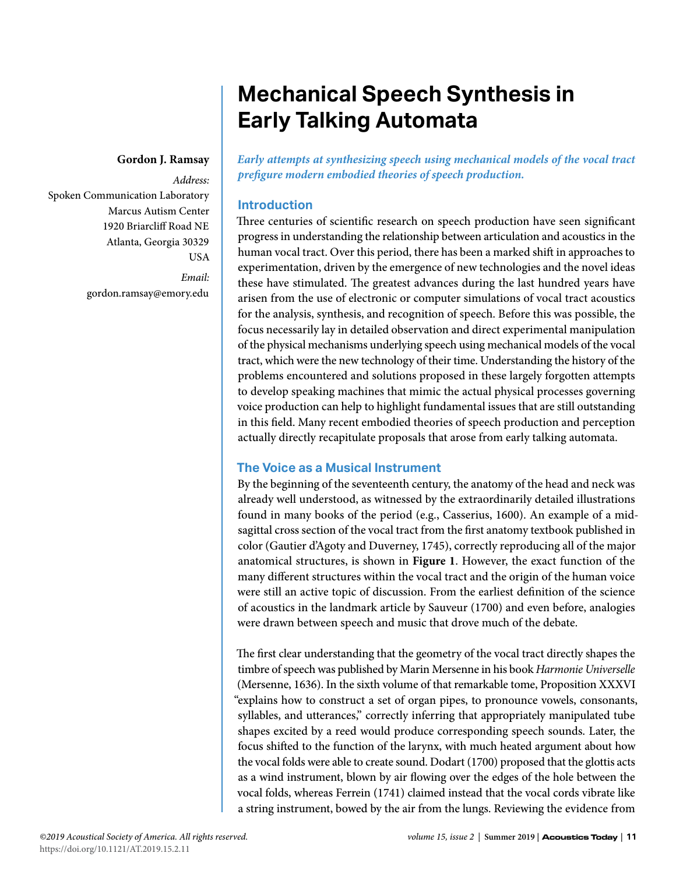# **Mechanical Speech Synthesis in Early Talking Automata**

#### **Gordon J. Ramsay**

*Address:* Spoken Communication Laboratory Marcus Autism Center 1920 Briarcliff Road NE Atlanta, Georgia 30329 USA *Email:*

gordon.ramsay@emory.edu

*Early attempts at synthesizing speech using mechanical models of the vocal tract prefigure modern embodied theories of speech production.*

# **Introduction**

Three centuries of scientific research on speech production have seen significant progress in understanding the relationship between articulation and acoustics in the human vocal tract. Over this period, there has been a marked shift in approaches to experimentation, driven by the emergence of new technologies and the novel ideas these have stimulated. The greatest advances during the last hundred years have arisen from the use of electronic or computer simulations of vocal tract acoustics for the analysis, synthesis, and recognition of speech. Before this was possible, the focus necessarily lay in detailed observation and direct experimental manipulation of the physical mechanisms underlying speech using mechanical models of the vocal tract, which were the new technology of their time. Understanding the history of the problems encountered and solutions proposed in these largely forgotten attempts to develop speaking machines that mimic the actual physical processes governing voice production can help to highlight fundamental issues that are still outstanding in this field. Many recent embodied theories of speech production and perception actually directly recapitulate proposals that arose from early talking automata.

## **The Voice as a Musical Instrument**

By the beginning of the seventeenth century, the anatomy of the head and neck was already well understood, as witnessed by the extraordinarily detailed illustrations found in many books of the period (e.g., Casserius, 1600). An example of a midsagittal cross section of the vocal tract from the first anatomy textbook published in color (Gautier d'Agoty and Duverney, 1745), correctly reproducing all of the major anatomical structures, is shown in **Figure 1**. However, the exact function of the many different structures within the vocal tract and the origin of the human voice were still an active topic of discussion. From the earliest definition of the science of acoustics in the landmark article by Sauveur (1700) and even before, analogies were drawn between speech and music that drove much of the debate.

The first clear understanding that the geometry of the vocal tract directly shapes the timbre of speech was published by Marin Mersenne in his book *Harmonie Universelle* (Mersenne, 1636). In the sixth volume of that remarkable tome, Proposition XXXVI "explains how to construct a set of organ pipes, to pronounce vowels, consonants, syllables, and utterances," correctly inferring that appropriately manipulated tube shapes excited by a reed would produce corresponding speech sounds. Later, the focus shifted to the function of the larynx, with much heated argument about how the vocal folds were able to create sound. Dodart (1700) proposed that the glottis acts as a wind instrument, blown by air flowing over the edges of the hole between the vocal folds, whereas Ferrein (1741) claimed instead that the vocal cords vibrate like a string instrument, bowed by the air from the lungs. Reviewing the evidence from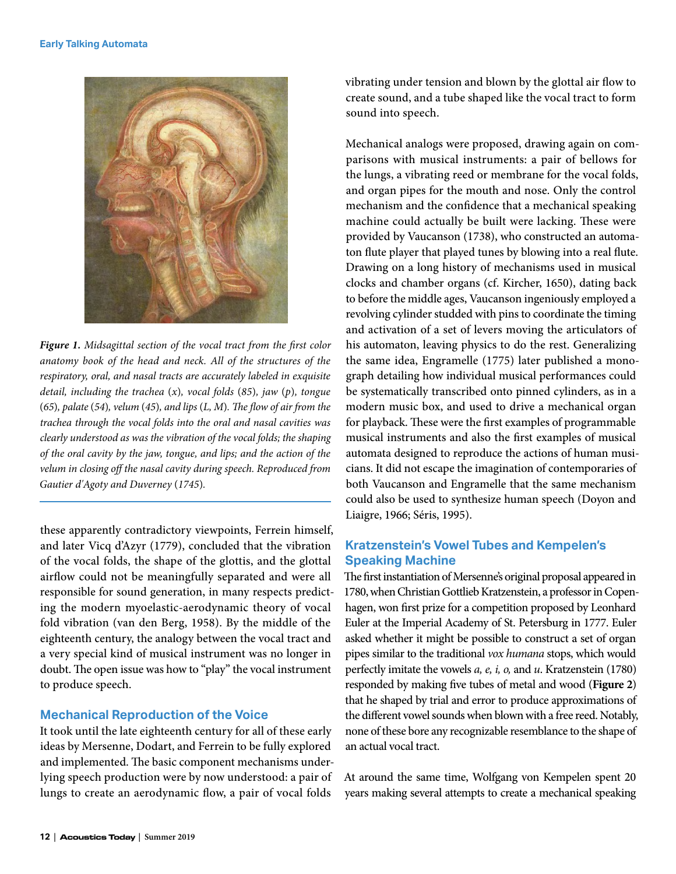

*Figure 1. Midsagittal section of the vocal tract from the first color anatomy book of the head and neck. All of the structures of the respiratory, oral, and nasal tracts are accurately labeled in exquisite detail, including the trachea* (*x*)*, vocal folds* (*85*)*, jaw* (*p*)*, tongue*  (*65*)*, palate* (*54*)*, velum* (*45*)*, and lips* (*L, M*)*. The flow of air from the trachea through the vocal folds into the oral and nasal cavities was clearly understood as was the vibration of the vocal folds; the shaping of the oral cavity by the jaw, tongue, and lips; and the action of the velum in closing off the nasal cavity during speech. Reproduced from Gautier d'Agoty and Duverney* (*1745*)*.*

these apparently contradictory viewpoints, Ferrein himself, and later Vicq d'Azyr (1779), concluded that the vibration of the vocal folds, the shape of the glottis, and the glottal airflow could not be meaningfully separated and were all responsible for sound generation, in many respects predicting the modern myoelastic-aerodynamic theory of vocal fold vibration (van den Berg, 1958). By the middle of the eighteenth century, the analogy between the vocal tract and a very special kind of musical instrument was no longer in doubt. The open issue was how to "play" the vocal instrument to produce speech.

## **Mechanical Reproduction of the Voice**

It took until the late eighteenth century for all of these early ideas by Mersenne, Dodart, and Ferrein to be fully explored and implemented. The basic component mechanisms underlying speech production were by now understood: a pair of lungs to create an aerodynamic flow, a pair of vocal folds

vibrating under tension and blown by the glottal air flow to create sound, and a tube shaped like the vocal tract to form sound into speech.

Mechanical analogs were proposed, drawing again on comparisons with musical instruments: a pair of bellows for the lungs, a vibrating reed or membrane for the vocal folds, and organ pipes for the mouth and nose. Only the control mechanism and the confidence that a mechanical speaking machine could actually be built were lacking. These were provided by Vaucanson (1738), who constructed an automaton flute player that played tunes by blowing into a real flute. Drawing on a long history of mechanisms used in musical clocks and chamber organs (cf. Kircher, 1650), dating back to before the middle ages, Vaucanson ingeniously employed a revolving cylinder studded with pins to coordinate the timing and activation of a set of levers moving the articulators of his automaton, leaving physics to do the rest. Generalizing the same idea, Engramelle (1775) later published a monograph detailing how individual musical performances could be systematically transcribed onto pinned cylinders, as in a modern music box, and used to drive a mechanical organ for playback. These were the first examples of programmable musical instruments and also the first examples of musical automata designed to reproduce the actions of human musicians. It did not escape the imagination of contemporaries of both Vaucanson and Engramelle that the same mechanism could also be used to synthesize human speech (Doyon and Liaigre, 1966; Séris, 1995).

# **Kratzenstein's Vowel Tubes and Kempelen's Speaking Machine**

The first instantiation of Mersenne's original proposal appeared in 1780, when Christian Gottlieb Kratzenstein, a professor in Copenhagen, won first prize for a competition proposed by Leonhard Euler at the Imperial Academy of St. Petersburg in 1777. Euler asked whether it might be possible to construct a set of organ pipes similar to the traditional *vox humana* stops, which would perfectly imitate the vowels *a, e, i, o,* and *u*. Kratzenstein (1780) responded by making five tubes of metal and wood (**Figure 2**) that he shaped by trial and error to produce approximations of the different vowel sounds when blown with a free reed. Notably, none of these bore any recognizable resemblance to the shape of an actual vocal tract.

At around the same time, Wolfgang von Kempelen spent 20 years making several attempts to create a mechanical speaking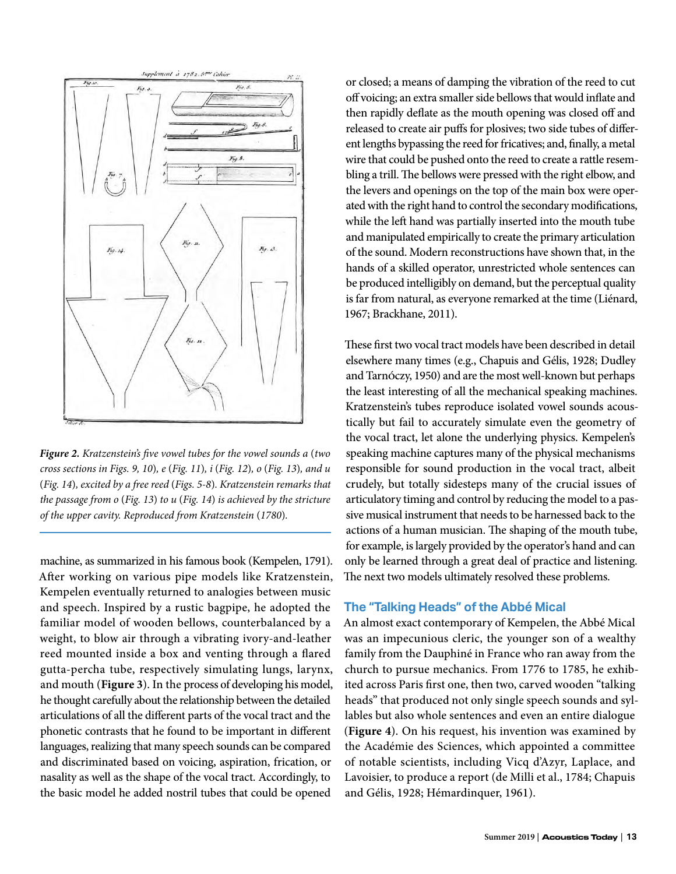

*Figure 2. Kratzenstein's five vowel tubes for the vowel sounds a* (*two cross sections in Figs. 9, 10*)*, e* (*Fig. 11*)*, i* (*Fig. 12*)*, o* (*Fig. 13*)*, and u*  (*Fig. 14*)*, excited by a free reed* (*Figs. 5-8*)*. Kratzenstein remarks that the passage from o* (*Fig. 13*) *to u* (*Fig. 14*) *is achieved by the stricture of the upper cavity. Reproduced from Kratzenstein* (*1780*)*.*

machine, as summarized in his famous book (Kempelen, 1791). After working on various pipe models like Kratzenstein, Kempelen eventually returned to analogies between music and speech. Inspired by a rustic bagpipe, he adopted the familiar model of wooden bellows, counterbalanced by a weight, to blow air through a vibrating ivory-and-leather reed mounted inside a box and venting through a flared gutta-percha tube, respectively simulating lungs, larynx, and mouth (**Figure 3**). In the process of developing his model, he thought carefully about the relationship between the detailed articulations of all the different parts of the vocal tract and the phonetic contrasts that he found to be important in different languages, realizing that many speech sounds can be compared and discriminated based on voicing, aspiration, frication, or nasality as well as the shape of the vocal tract. Accordingly, to the basic model he added nostril tubes that could be opened

or closed; a means of damping the vibration of the reed to cut off voicing; an extra smaller side bellows that would inflate and then rapidly deflate as the mouth opening was closed off and released to create air puffs for plosives; two side tubes of different lengths bypassing the reed for fricatives; and, finally, a metal wire that could be pushed onto the reed to create a rattle resembling a trill. The bellows were pressed with the right elbow, and the levers and openings on the top of the main box were operated with the right hand to control the secondary modifications, while the left hand was partially inserted into the mouth tube and manipulated empirically to create the primary articulation of the sound. Modern reconstructions have shown that, in the hands of a skilled operator, unrestricted whole sentences can be produced intelligibly on demand, but the perceptual quality is far from natural, as everyone remarked at the time (Liénard, 1967; Brackhane, 2011).

These first two vocal tract models have been described in detail elsewhere many times (e.g., Chapuis and Gélis, 1928; Dudley and Tarnóczy, 1950) and are the most well-known but perhaps the least interesting of all the mechanical speaking machines. Kratzenstein's tubes reproduce isolated vowel sounds acoustically but fail to accurately simulate even the geometry of the vocal tract, let alone the underlying physics. Kempelen's speaking machine captures many of the physical mechanisms responsible for sound production in the vocal tract, albeit crudely, but totally sidesteps many of the crucial issues of articulatory timing and control by reducing the model to a passive musical instrument that needs to be harnessed back to the actions of a human musician. The shaping of the mouth tube, for example, is largely provided by the operator's hand and can only be learned through a great deal of practice and listening. The next two models ultimately resolved these problems.

#### **The "Talking Heads" of the Abbé Mical**

An almost exact contemporary of Kempelen, the Abbé Mical was an impecunious cleric, the younger son of a wealthy family from the Dauphiné in France who ran away from the church to pursue mechanics. From 1776 to 1785, he exhibited across Paris first one, then two, carved wooden "talking heads" that produced not only single speech sounds and syllables but also whole sentences and even an entire dialogue (**Figure 4**). On his request, his invention was examined by the Académie des Sciences, which appointed a committee of notable scientists, including Vicq d'Azyr, Laplace, and Lavoisier, to produce a report (de Milli et al., 1784; Chapuis and Gélis, 1928; Hémardinquer, 1961).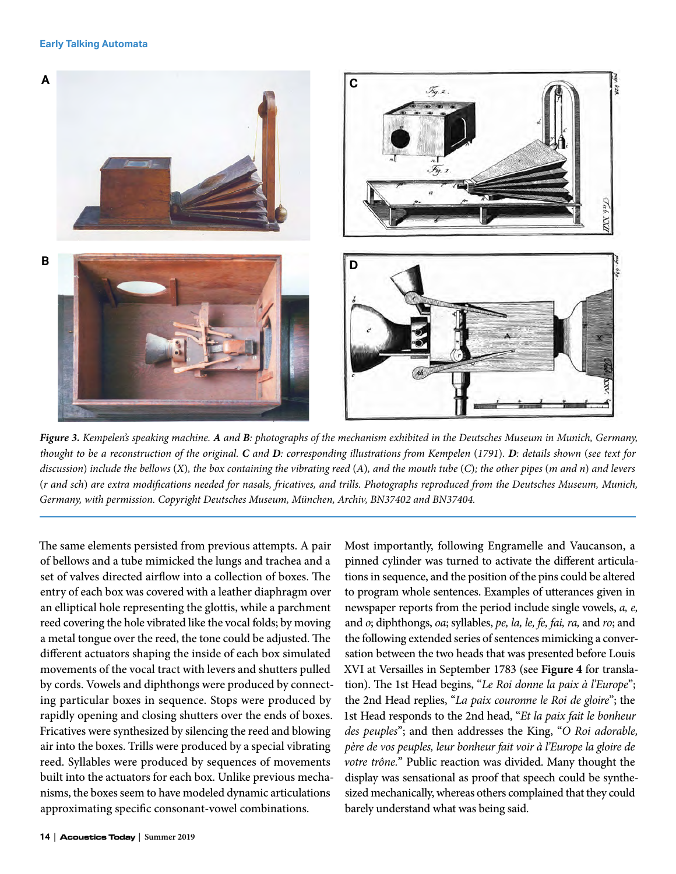

*Figure 3. Kempelen's speaking machine. A and B: photographs of the mechanism exhibited in the Deutsches Museum in Munich, Germany, thought to be a reconstruction of the original. C and D: corresponding illustrations from Kempelen* (*1791*)*. D: details shown* (*see text for discussion*) *include the bellows* (*X*)*, the box containing the vibrating reed* (*A*)*, and the mouth tube* (*C*)*; the other pipes* (*m and n*) *and levers*  (*r and sch*) *are extra modifications needed for nasals, fricatives, and trills. Photographs reproduced from the Deutsches Museum, Munich, Germany, with permission. Copyright Deutsches Museum, München, Archiv, BN37402 and BN37404.*

The same elements persisted from previous attempts. A pair of bellows and a tube mimicked the lungs and trachea and a set of valves directed airflow into a collection of boxes. The entry of each box was covered with a leather diaphragm over an elliptical hole representing the glottis, while a parchment reed covering the hole vibrated like the vocal folds; by moving a metal tongue over the reed, the tone could be adjusted. The different actuators shaping the inside of each box simulated movements of the vocal tract with levers and shutters pulled by cords. Vowels and diphthongs were produced by connecting particular boxes in sequence. Stops were produced by rapidly opening and closing shutters over the ends of boxes. Fricatives were synthesized by silencing the reed and blowing air into the boxes. Trills were produced by a special vibrating reed. Syllables were produced by sequences of movements built into the actuators for each box. Unlike previous mechanisms, the boxes seem to have modeled dynamic articulations approximating specific consonant-vowel combinations.

Most importantly, following Engramelle and Vaucanson, a pinned cylinder was turned to activate the different articulations in sequence, and the position of the pins could be altered to program whole sentences. Examples of utterances given in newspaper reports from the period include single vowels, *a, e,* and *o*; diphthongs, *oa*; syllables, *pe, la, le, fe, fai, ra,* and *ro*; and the following extended series of sentences mimicking a conversation between the two heads that was presented before Louis XVI at Versailles in September 1783 (see **Figure 4** for translation). The 1st Head begins, "*Le Roi donne la paix à l'Europe*"; the 2nd Head replies, "*La paix couronne le Roi de gloire*"; the 1st Head responds to the 2nd head, "*Et la paix fait le bonheur des peuples*"; and then addresses the King, "*O Roi adorable, père de vos peuples, leur bonheur fait voir à l'Europe la gloire de votre trône.*" Public reaction was divided. Many thought the display was sensational as proof that speech could be synthesized mechanically, whereas others complained that they could barely understand what was being said.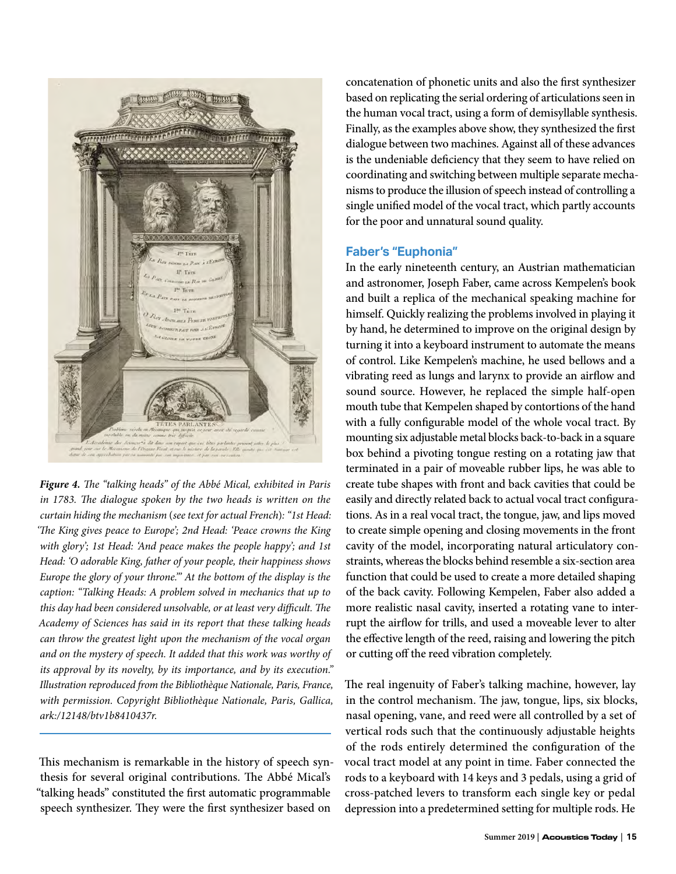

*Figure 4. The "talking heads" of the Abbé Mical, exhibited in Paris in 1783. The dialogue spoken by the two heads is written on the curtain hiding the mechanism* (*see text for actual French*)*: "1st Head: 'The King gives peace to Europe'; 2nd Head: 'Peace crowns the King with glory'; 1st Head: 'And peace makes the people happy'; and 1st Head: 'O adorable King, father of your people, their happiness shows Europe the glory of your throne.'" At the bottom of the display is the caption: "Talking Heads: A problem solved in mechanics that up to this day had been considered unsolvable, or at least very difficult. The Academy of Sciences has said in its report that these talking heads can throw the greatest light upon the mechanism of the vocal organ and on the mystery of speech. It added that this work was worthy of its approval by its novelty, by its importance, and by its execution." Illustration reproduced from the Bibliothèque Nationale, Paris, France, with permission. Copyright Bibliothèque Nationale, Paris, Gallica, ark:/12148/btv1b8410437r.*

This mechanism is remarkable in the history of speech synthesis for several original contributions. The Abbé Mical's "talking heads" constituted the first automatic programmable speech synthesizer. They were the first synthesizer based on

concatenation of phonetic units and also the first synthesizer based on replicating the serial ordering of articulations seen in the human vocal tract, using a form of demisyllable synthesis. Finally, as the examples above show, they synthesized the first dialogue between two machines. Against all of these advances is the undeniable deficiency that they seem to have relied on coordinating and switching between multiple separate mechanisms to produce the illusion of speech instead of controlling a single unified model of the vocal tract, which partly accounts for the poor and unnatural sound quality.

## **Faber's "Euphonia"**

In the early nineteenth century, an Austrian mathematician and astronomer, Joseph Faber, came across Kempelen's book and built a replica of the mechanical speaking machine for himself. Quickly realizing the problems involved in playing it by hand, he determined to improve on the original design by turning it into a keyboard instrument to automate the means of control. Like Kempelen's machine, he used bellows and a vibrating reed as lungs and larynx to provide an airflow and sound source. However, he replaced the simple half-open mouth tube that Kempelen shaped by contortions of the hand with a fully configurable model of the whole vocal tract. By mounting six adjustable metal blocks back-to-back in a square box behind a pivoting tongue resting on a rotating jaw that terminated in a pair of moveable rubber lips, he was able to create tube shapes with front and back cavities that could be easily and directly related back to actual vocal tract configurations. As in a real vocal tract, the tongue, jaw, and lips moved to create simple opening and closing movements in the front cavity of the model, incorporating natural articulatory constraints, whereas the blocks behind resemble a six-section area function that could be used to create a more detailed shaping of the back cavity. Following Kempelen, Faber also added a more realistic nasal cavity, inserted a rotating vane to interrupt the airflow for trills, and used a moveable lever to alter the effective length of the reed, raising and lowering the pitch or cutting off the reed vibration completely.

The real ingenuity of Faber's talking machine, however, lay in the control mechanism. The jaw, tongue, lips, six blocks, nasal opening, vane, and reed were all controlled by a set of vertical rods such that the continuously adjustable heights of the rods entirely determined the configuration of the vocal tract model at any point in time. Faber connected the rods to a keyboard with 14 keys and 3 pedals, using a grid of cross-patched levers to transform each single key or pedal depression into a predetermined setting for multiple rods. He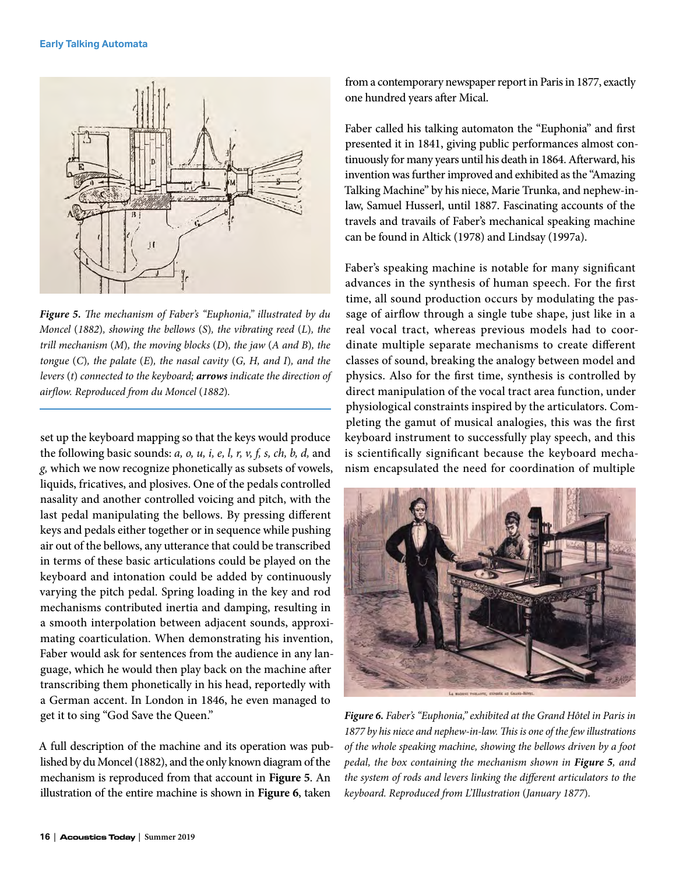

*Figure 5. The mechanism of Faber's "Euphonia," illustrated by du Moncel* (*1882*)*, showing the bellows* (*S*)*, the vibrating reed* (*L*)*, the trill mechanism* (*M*)*, the moving blocks* (*D*)*, the jaw* (*A and B*)*, the tongue* (*C*)*, the palate* (*E*)*, the nasal cavity* (*G, H, and I*)*, and the levers* (*t*) *connected to the keyboard; arrows indicate the direction of airflow. Reproduced from du Moncel* (*1882*)*.*

set up the keyboard mapping so that the keys would produce the following basic sounds: *a, o, u, i, e, l, r, v, f, s, ch, b, d,* and *g,* which we now recognize phonetically as subsets of vowels, liquids, fricatives, and plosives. One of the pedals controlled nasality and another controlled voicing and pitch, with the last pedal manipulating the bellows. By pressing different keys and pedals either together or in sequence while pushing air out of the bellows, any utterance that could be transcribed in terms of these basic articulations could be played on the keyboard and intonation could be added by continuously varying the pitch pedal. Spring loading in the key and rod mechanisms contributed inertia and damping, resulting in a smooth interpolation between adjacent sounds, approximating coarticulation. When demonstrating his invention, Faber would ask for sentences from the audience in any language, which he would then play back on the machine after transcribing them phonetically in his head, reportedly with a German accent. In London in 1846, he even managed to get it to sing "God Save the Queen."

A full description of the machine and its operation was published by du Moncel (1882), and the only known diagram of the mechanism is reproduced from that account in **Figure 5**. An illustration of the entire machine is shown in **Figure 6**, taken

from a contemporary newspaper report in Paris in 1877, exactly one hundred years after Mical.

Faber called his talking automaton the "Euphonia" and first presented it in 1841, giving public performances almost continuously for many years until his death in 1864. Afterward, his invention was further improved and exhibited as the "Amazing Talking Machine" by his niece, Marie Trunka, and nephew-inlaw, Samuel Husserl, until 1887. Fascinating accounts of the travels and travails of Faber's mechanical speaking machine can be found in Altick (1978) and Lindsay (1997a).

Faber's speaking machine is notable for many significant advances in the synthesis of human speech. For the first time, all sound production occurs by modulating the passage of airflow through a single tube shape, just like in a real vocal tract, whereas previous models had to coordinate multiple separate mechanisms to create different classes of sound, breaking the analogy between model and physics. Also for the first time, synthesis is controlled by direct manipulation of the vocal tract area function, under physiological constraints inspired by the articulators. Completing the gamut of musical analogies, this was the first keyboard instrument to successfully play speech, and this is scientifically significant because the keyboard mechanism encapsulated the need for coordination of multiple



*Figure 6. Faber's "Euphonia," exhibited at the Grand Hôtel in Paris in 1877 by his niece and nephew-in-law. This is one of the few illustrations of the whole speaking machine, showing the bellows driven by a foot pedal, the box containing the mechanism shown in Figure 5, and the system of rods and levers linking the different articulators to the keyboard. Reproduced from L'Illustration* (*January 1877*)*.*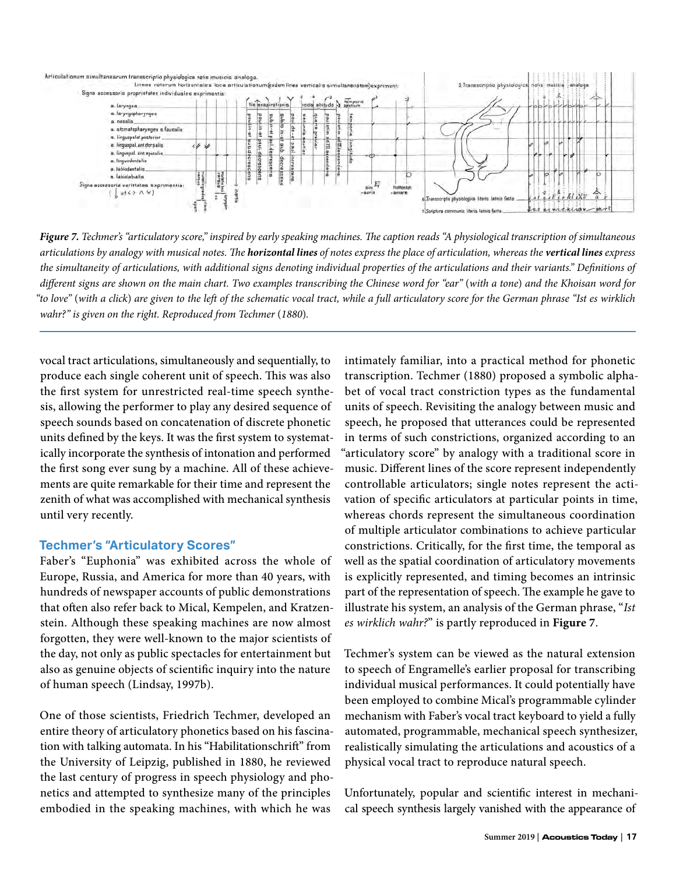

*Figure 7. Techmer's "articulatory score," inspired by early speaking machines. The caption reads "A physiological transcription of simultaneous articulations by analogy with musical notes. The horizontal lines of notes express the place of articulation, whereas the vertical lines express the simultaneity of articulations, with additional signs denoting individual properties of the articulations and their variants." Definitions of different signs are shown on the main chart. Two examples transcribing the Chinese word for "ear"* (*with a tone*) *and the Khoisan word for "to love"* (*with a click*) *are given to the left of the schematic vocal tract, while a full articulatory score for the German phrase "Ist es wirklich*  wahr?" is given on the right. Reproduced from Techmer (1880).

vocal tract articulations, simultaneously and sequentially, to produce each single coherent unit of speech. This was also the first system for unrestricted real-time speech synthesis, allowing the performer to play any desired sequence of speech sounds based on concatenation of discrete phonetic units defined by the keys. It was the first system to systematically incorporate the synthesis of intonation and performed the first song ever sung by a machine. All of these achievements are quite remarkable for their time and represent the zenith of what was accomplished with mechanical synthesis until very recently.

## **Techmer's "Articulatory Scores"**

Faber's "Euphonia" was exhibited across the whole of Europe, Russia, and America for more than 40 years, with hundreds of newspaper accounts of public demonstrations that often also refer back to Mical, Kempelen, and Kratzenstein. Although these speaking machines are now almost forgotten, they were well-known to the major scientists of the day, not only as public spectacles for entertainment but also as genuine objects of scientific inquiry into the nature of human speech (Lindsay, 1997b).

One of those scientists, Friedrich Techmer, developed an entire theory of articulatory phonetics based on his fascination with talking automata. In his "Habilitationschrift" from the University of Leipzig, published in 1880, he reviewed the last century of progress in speech physiology and phonetics and attempted to synthesize many of the principles embodied in the speaking machines, with which he was

intimately familiar, into a practical method for phonetic transcription. Techmer (1880) proposed a symbolic alphabet of vocal tract constriction types as the fundamental units of speech. Revisiting the analogy between music and speech, he proposed that utterances could be represented in terms of such constrictions, organized according to an "articulatory score" by analogy with a traditional score in music. Different lines of the score represent independently controllable articulators; single notes represent the activation of specific articulators at particular points in time, whereas chords represent the simultaneous coordination of multiple articulator combinations to achieve particular constrictions. Critically, for the first time, the temporal as well as the spatial coordination of articulatory movements is explicitly represented, and timing becomes an intrinsic part of the representation of speech. The example he gave to illustrate his system, an analysis of the German phrase, "*Ist es wirklich wahr?*" is partly reproduced in **Figure 7**.

Techmer's system can be viewed as the natural extension to speech of Engramelle's earlier proposal for transcribing individual musical performances. It could potentially have been employed to combine Mical's programmable cylinder mechanism with Faber's vocal tract keyboard to yield a fully automated, programmable, mechanical speech synthesizer, realistically simulating the articulations and acoustics of a physical vocal tract to reproduce natural speech.

Unfortunately, popular and scientific interest in mechanical speech synthesis largely vanished with the appearance of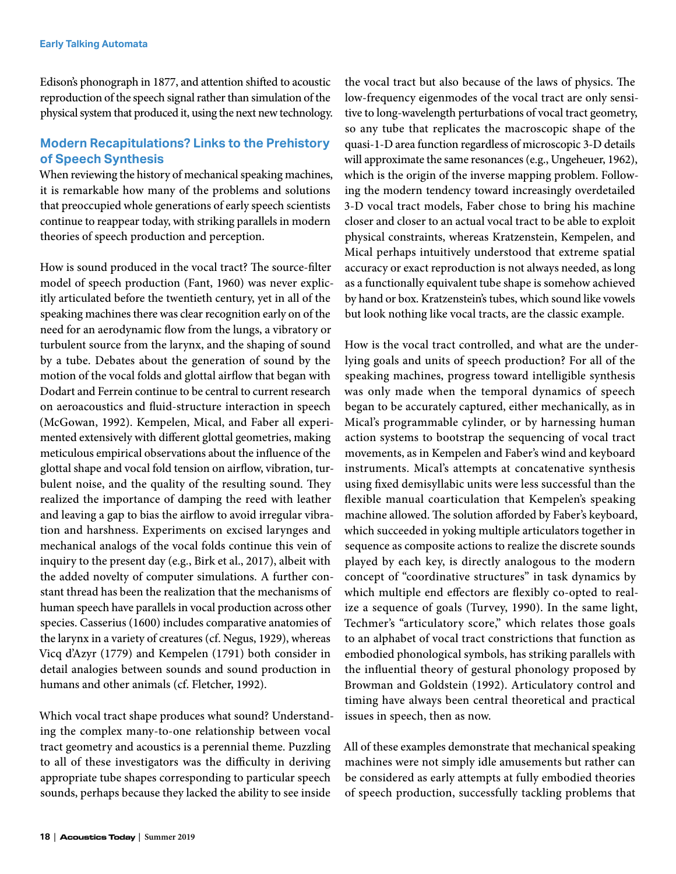Edison's phonograph in 1877, and attention shifted to acoustic reproduction of the speech signal rather than simulation of the physical system that produced it, using the next new technology.

## **Modern Recapitulations? Links to the Prehistory of Speech Synthesis**

When reviewing the history of mechanical speaking machines, it is remarkable how many of the problems and solutions that preoccupied whole generations of early speech scientists continue to reappear today, with striking parallels in modern theories of speech production and perception.

How is sound produced in the vocal tract? The source-filter model of speech production (Fant, 1960) was never explicitly articulated before the twentieth century, yet in all of the speaking machines there was clear recognition early on of the need for an aerodynamic flow from the lungs, a vibratory or turbulent source from the larynx, and the shaping of sound by a tube. Debates about the generation of sound by the motion of the vocal folds and glottal airflow that began with Dodart and Ferrein continue to be central to current research on aeroacoustics and fluid-structure interaction in speech (McGowan, 1992). Kempelen, Mical, and Faber all experimented extensively with different glottal geometries, making meticulous empirical observations about the influence of the glottal shape and vocal fold tension on airflow, vibration, turbulent noise, and the quality of the resulting sound. They realized the importance of damping the reed with leather and leaving a gap to bias the airflow to avoid irregular vibration and harshness. Experiments on excised larynges and mechanical analogs of the vocal folds continue this vein of inquiry to the present day (e.g., Birk et al., 2017), albeit with the added novelty of computer simulations. A further constant thread has been the realization that the mechanisms of human speech have parallels in vocal production across other species. Casserius (1600) includes comparative anatomies of the larynx in a variety of creatures (cf. Negus, 1929), whereas Vicq d'Azyr (1779) and Kempelen (1791) both consider in detail analogies between sounds and sound production in humans and other animals (cf. Fletcher, 1992).

Which vocal tract shape produces what sound? Understanding the complex many-to-one relationship between vocal tract geometry and acoustics is a perennial theme. Puzzling to all of these investigators was the difficulty in deriving appropriate tube shapes corresponding to particular speech sounds, perhaps because they lacked the ability to see inside

the vocal tract but also because of the laws of physics. The low-frequency eigenmodes of the vocal tract are only sensitive to long-wavelength perturbations of vocal tract geometry, so any tube that replicates the macroscopic shape of the quasi-1-D area function regardless of microscopic 3-D details will approximate the same resonances (e.g., Ungeheuer, 1962), which is the origin of the inverse mapping problem. Following the modern tendency toward increasingly overdetailed 3-D vocal tract models, Faber chose to bring his machine closer and closer to an actual vocal tract to be able to exploit physical constraints, whereas Kratzenstein, Kempelen, and Mical perhaps intuitively understood that extreme spatial accuracy or exact reproduction is not always needed, as long as a functionally equivalent tube shape is somehow achieved by hand or box. Kratzenstein's tubes, which sound like vowels but look nothing like vocal tracts, are the classic example.

How is the vocal tract controlled, and what are the underlying goals and units of speech production? For all of the speaking machines, progress toward intelligible synthesis was only made when the temporal dynamics of speech began to be accurately captured, either mechanically, as in Mical's programmable cylinder, or by harnessing human action systems to bootstrap the sequencing of vocal tract movements, as in Kempelen and Faber's wind and keyboard instruments. Mical's attempts at concatenative synthesis using fixed demisyllabic units were less successful than the flexible manual coarticulation that Kempelen's speaking machine allowed. The solution afforded by Faber's keyboard, which succeeded in yoking multiple articulators together in sequence as composite actions to realize the discrete sounds played by each key, is directly analogous to the modern concept of "coordinative structures" in task dynamics by which multiple end effectors are flexibly co-opted to realize a sequence of goals (Turvey, 1990). In the same light, Techmer's "articulatory score," which relates those goals to an alphabet of vocal tract constrictions that function as embodied phonological symbols, has striking parallels with the influential theory of gestural phonology proposed by Browman and Goldstein (1992). Articulatory control and timing have always been central theoretical and practical issues in speech, then as now.

All of these examples demonstrate that mechanical speaking machines were not simply idle amusements but rather can be considered as early attempts at fully embodied theories of speech production, successfully tackling problems that